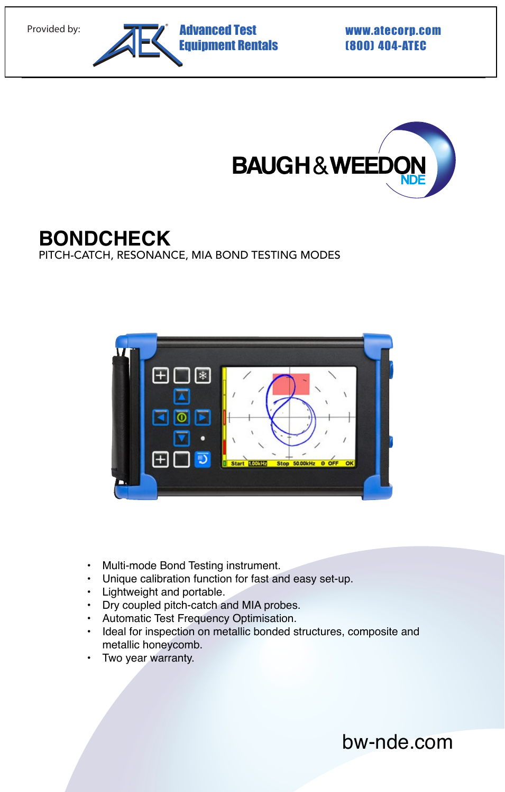



# **BONDCHECK**

PITCH-CATCH, RESONANCE, MIA BOND TESTING MODES



- Multi-mode Bond Testing instrument.
- Unique calibration function for fast and easy set-up.
- Lightweight and portable.
- Dry coupled pitch-catch and MIA probes.
- Automatic Test Frequency Optimisation.
- Ideal for inspection on metallic bonded structures, composite and metallic honeycomb.
- Two year warranty.

bw-nde.com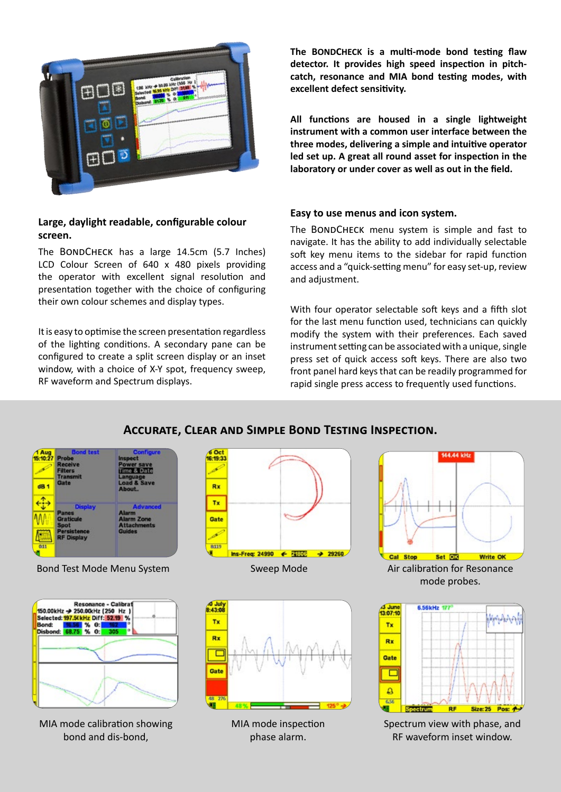

## **Large, daylight readable, configurable colour screen.**

The BONDCHECK has a large 14.5cm (5.7 Inches) LCD Colour Screen of 640 x 480 pixels providing the operator with excellent signal resolution and presentation together with the choice of configuring their own colour schemes and display types.

It is easy to optimise the screen presentation regardless of the lighting conditions. A secondary pane can be configured to create a split screen display or an inset window, with a choice of X-Y spot, frequency sweep, RF waveform and Spectrum displays.

**The BONDCHECK is a multi-mode bond testing flaw detector. It provides high speed inspection in pitchcatch, resonance and MIA bond testing modes, with excellent defect sensitivity.**

**All functions are housed in a single lightweight instrument with a common user interface between the three modes, delivering a simple and intuitive operator led set up. A great all round asset for inspection in the laboratory or under cover as well as out in the field.**

#### **Easy to use menus and icon system.**

The BONDCHECK menu system is simple and fast to navigate. It has the ability to add individually selectable soft key menu items to the sidebar for rapid function access and a "quick-setting menu" for easy set-up, review and adjustment.

With four operator selectable soft keys and a fifth slot for the last menu function used, technicians can quickly modify the system with their preferences. Each saved instrument setting can be associated with a unique, single press set of quick access soft keys. There are also two front panel hard keys that can be readily programmed for rapid single press access to frequently used functions.

## **Accurate, Clear and Simple Bond Testing Inspection.**

| Aug<br>$10 - 27$<br>dB <sub>1</sub> | <b>Bond test</b><br><b>Probe</b><br><b>Receive</b><br><b>Filters</b><br><b>Transmit</b><br>Gate       | <b>Configure</b><br>Inspect<br>Power save<br>Time & Date<br>Language<br><b>Load &amp; Save</b><br>About. |  |  |  |
|-------------------------------------|-------------------------------------------------------------------------------------------------------|----------------------------------------------------------------------------------------------------------|--|--|--|
| 0.11                                | <b>Display</b><br>Panes<br><b>Graticule</b><br><b>Spot</b><br><b>Persistence</b><br><b>RF Display</b> | <b>Advanced</b><br><b>Alarm</b><br><b>Alarm Zone</b><br><b>Attachments</b><br><b>Guides</b>              |  |  |  |

Bond Test Mode Menu System Sweep Mode Air calibration for Resonance

| Bond: | 150.00kHz → 250.00kHz (250 Hz)<br>Selected: 197.5(kHz Diff: 52.19 %<br>56 % 0:<br>Disbond: 68.75 % O: | <b>Resonance - Calibrat</b> | n |  |
|-------|-------------------------------------------------------------------------------------------------------|-----------------------------|---|--|
|       |                                                                                                       |                             |   |  |
|       |                                                                                                       |                             |   |  |

MIA mode calibration showing bond and dis-bond,





MIA mode inspection phase alarm.



mode probes.



Spectrum view with phase, and RF waveform inset window.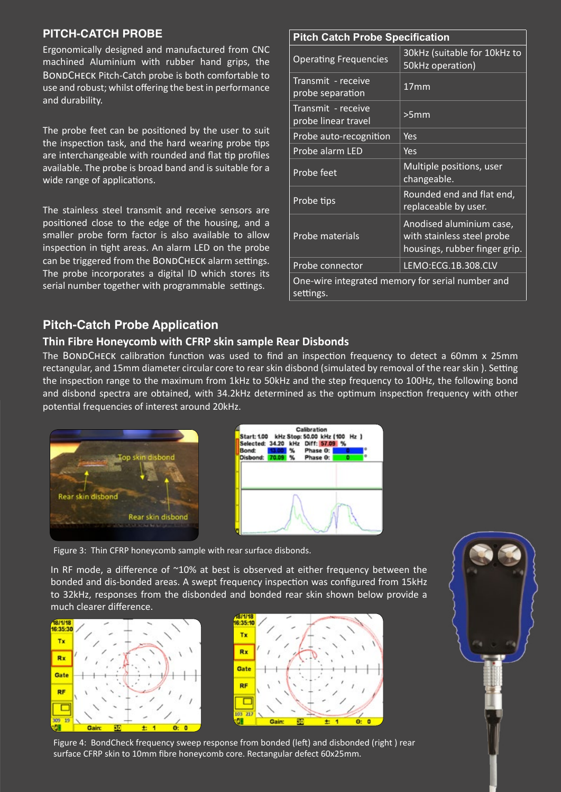## **PITCH-CATCH PROBE**

Ergonomically designed and manufactured from CNC machined Aluminium with rubber hand grips, the BONDCHECK Pitch-Catch probe is both comfortable to use and robust; whilst offering the best in performance and durability.

The probe feet can be positioned by the user to suit the inspection task, and the hard wearing probe tips are interchangeable with rounded and flat tip profiles available. The probe is broad band and is suitable for a wide range of applications.

The stainless steel transmit and receive sensors are positioned close to the edge of the housing, and a smaller probe form factor is also available to allow inspection in tight areas. An alarm LED on the probe can be triggered from the BONDCHECK alarm settings. The probe incorporates a digital ID which stores its serial number together with programmable settings.

# **Pitch Catch Probe Specification**

| <b>SALE AND SHOP SHOP SHOP</b>                                |                                                                                         |  |  |  |  |
|---------------------------------------------------------------|-----------------------------------------------------------------------------------------|--|--|--|--|
| <b>Operating Frequencies</b>                                  | 30kHz (suitable for 10kHz to<br>50kHz operation)                                        |  |  |  |  |
| Transmit - receive<br>probe separation                        | 17 <sub>mm</sub>                                                                        |  |  |  |  |
| Transmit - receive<br>probe linear travel                     | >5mm                                                                                    |  |  |  |  |
| Probe auto-recognition                                        | Yes                                                                                     |  |  |  |  |
| Probe alarm LED                                               | Yes                                                                                     |  |  |  |  |
| Probe feet                                                    | Multiple positions, user<br>changeable.                                                 |  |  |  |  |
| Probe tips                                                    | Rounded end and flat end,<br>replaceable by user.                                       |  |  |  |  |
| Probe materials                                               | Anodised aluminium case,<br>with stainless steel probe<br>housings, rubber finger grip. |  |  |  |  |
| Probe connector                                               | LEMO:ECG.1B.308.CLV                                                                     |  |  |  |  |
| One-wire integrated memory for serial number and<br>settings. |                                                                                         |  |  |  |  |

## **Pitch-Catch Probe Application**

## **Thin Fibre Honeycomb with CFRP skin sample Rear Disbonds**

The BONDCHECK calibration function was used to find an inspection frequency to detect a 60mm x 25mm rectangular, and 15mm diameter circular core to rear skin disbond (simulated by removal of the rear skin ). Setting the inspection range to the maximum from 1kHz to 50kHz and the step frequency to 100Hz, the following bond and disbond spectra are obtained, with 34.2kHz determined as the optimum inspection frequency with other potential frequencies of interest around 20kHz.





Figure 3: Thin CFRP honeycomb sample with rear surface disbonds.

In RF mode, a difference of  $^{\sim}10\%$  at best is observed at either frequency between the bonded and dis-bonded areas. A swept frequency inspection was configured from 15kHz to 32kHz, responses from the disbonded and bonded rear skin shown below provide a much clearer difference.







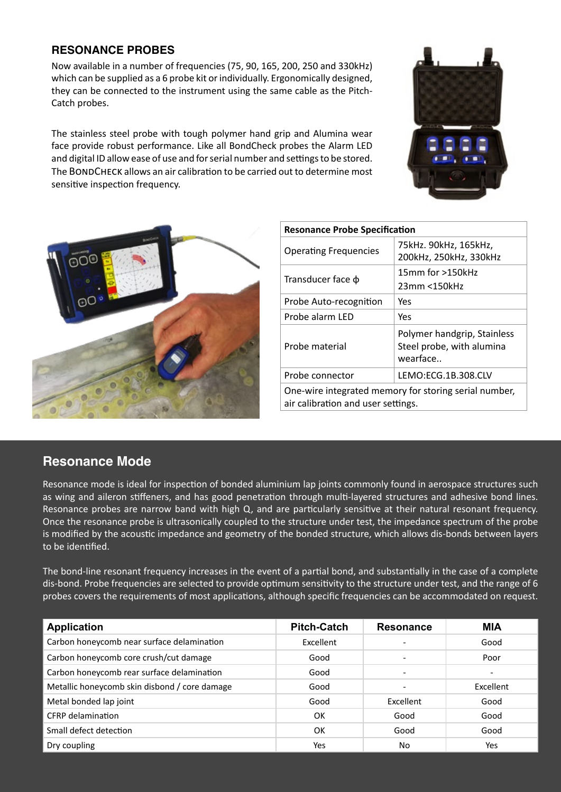## **RESONANCE PROBES**

Now available in a number of frequencies (75, 90, 165, 200, 250 and 330kHz) which can be supplied as a 6 probe kit or individually. Ergonomically designed, they can be connected to the instrument using the same cable as the Pitch-Catch probes.

The stainless steel probe with tough polymer hand grip and Alumina wear face provide robust performance. Like all BondCheck probes the Alarm LED and digital ID allow ease of use and for serial number and settings to be stored. The BondCheck allows an air calibration to be carried out to determine most sensitive inspection frequency.





| <b>Resonance Probe Specification</b>                                                        |                                                                      |  |  |  |
|---------------------------------------------------------------------------------------------|----------------------------------------------------------------------|--|--|--|
| <b>Operating Frequencies</b>                                                                | 75kHz. 90kHz, 165kHz,<br>200kHz, 250kHz, 330kHz                      |  |  |  |
| Transducer face $\phi$                                                                      | 15mm for >150kHz<br>23mm <150kHz                                     |  |  |  |
| Probe Auto-recognition                                                                      | Yes                                                                  |  |  |  |
| Probe alarm LED                                                                             | Yes                                                                  |  |  |  |
| Probe material                                                                              | Polymer handgrip, Stainless<br>Steel probe, with alumina<br>wearface |  |  |  |
| Probe connector                                                                             | LEMO:ECG.1B.308.CLV                                                  |  |  |  |
| One-wire integrated memory for storing serial number,<br>air calibration and user settings. |                                                                      |  |  |  |

# **Resonance Mode**

Resonance mode is ideal for inspection of bonded aluminium lap joints commonly found in aerospace structures such as wing and aileron stiffeners, and has good penetration through multi-layered structures and adhesive bond lines. Resonance probes are narrow band with high Q, and are particularly sensitive at their natural resonant frequency. Once the resonance probe is ultrasonically coupled to the structure under test, the impedance spectrum of the probe is modified by the acoustic impedance and geometry of the bonded structure, which allows dis-bonds between layers to be identified.

The bond-line resonant frequency increases in the event of a partial bond, and substantially in the case of a complete dis-bond. Probe frequencies are selected to provide optimum sensitivity to the structure under test, and the range of 6 probes covers the requirements of most applications, although specific frequencies can be accommodated on request.

| <b>Application</b>                            | <b>Pitch-Catch</b> | <b>Resonance</b>         | <b>MIA</b> |
|-----------------------------------------------|--------------------|--------------------------|------------|
| Carbon honeycomb near surface delamination    | Excellent          | $\overline{\phantom{a}}$ | Good       |
| Carbon honeycomb core crush/cut damage        | Good               | $\overline{\phantom{a}}$ | Poor       |
| Carbon honeycomb rear surface delamination    | Good               | $\overline{\phantom{a}}$ |            |
| Metallic honeycomb skin disbond / core damage | Good               | $\overline{\phantom{a}}$ | Excellent  |
| Metal bonded lap joint                        | Good               | Excellent                | Good       |
| <b>CFRP</b> delamination                      | OK                 | Good                     | Good       |
| Small defect detection                        | OK                 | Good                     | Good       |
| Dry coupling                                  | Yes                | No                       | Yes        |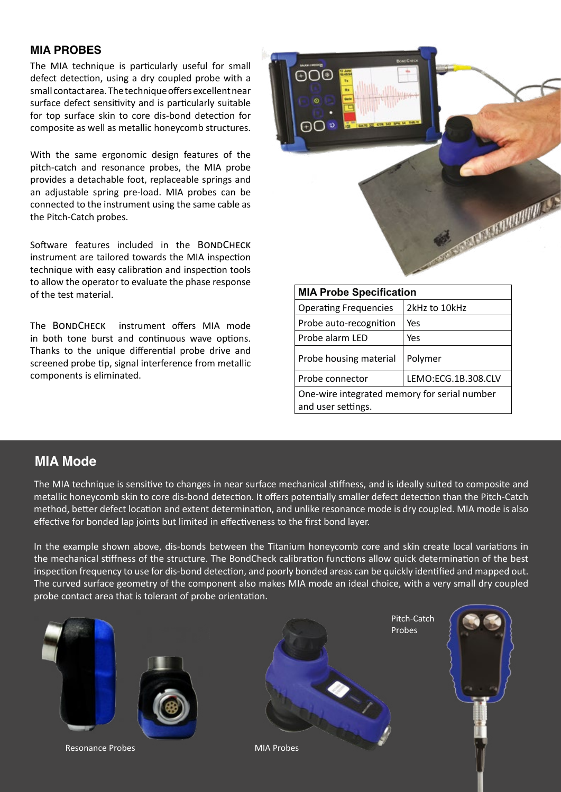## **MIA PROBES**

The MIA technique is particularly useful for small defect detection, using a dry coupled probe with a small contact area. The technique offers excellent near surface defect sensitivity and is particularly suitable for top surface skin to core dis-bond detection for composite as well as metallic honeycomb structures.

With the same ergonomic design features of the pitch-catch and resonance probes, the MIA probe provides a detachable foot, replaceable springs and an adjustable spring pre-load. MIA probes can be connected to the instrument using the same cable as the Pitch-Catch probes.

Software features included in the BONDCHECK instrument are tailored towards the MIA inspection technique with easy calibration and inspection tools to allow the operator to evaluate the phase response of the test material.

The BONDCHECK instrument offers MIA mode in both tone burst and continuous wave options. Thanks to the unique differential probe drive and screened probe tip, signal interference from metallic components is eliminated.



| <b>MIA Probe Specification</b>                                     |                     |  |  |  |
|--------------------------------------------------------------------|---------------------|--|--|--|
| <b>Operating Frequencies</b>                                       | 2kHz to 10kHz       |  |  |  |
| Probe auto-recognition                                             | Yes                 |  |  |  |
| Probe alarm LED                                                    | Yes                 |  |  |  |
| Probe housing material                                             | Polymer             |  |  |  |
| Probe connector                                                    | LEMO:ECG.1B.308.CLV |  |  |  |
| One-wire integrated memory for serial number<br>and user settings. |                     |  |  |  |

# **MIA Mode**

The MIA technique is sensitive to changes in near surface mechanical stiffness, and is ideally suited to composite and metallic honeycomb skin to core dis-bond detection. It offers potentially smaller defect detection than the Pitch-Catch method, better defect location and extent determination, and unlike resonance mode is dry coupled. MIA mode is also effective for bonded lap joints but limited in effectiveness to the first bond layer.

In the example shown above, dis-bonds between the Titanium honeycomb core and skin create local variations in the mechanical stiffness of the structure. The BondCheck calibration functions allow quick determination of the best inspection frequency to use for dis-bond detection, and poorly bonded areas can be quickly identified and mapped out. The curved surface geometry of the component also makes MIA mode an ideal choice, with a very small dry coupled probe contact area that is tolerant of probe orientation.